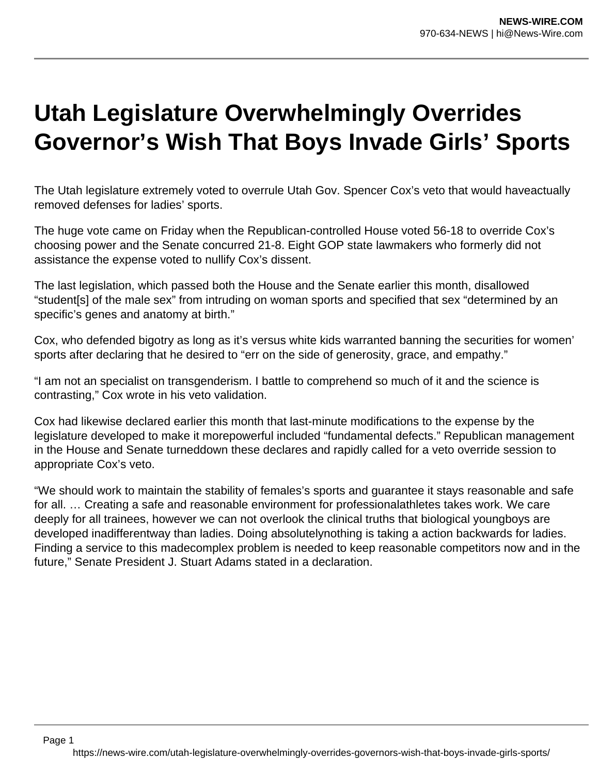## **Utah Legislature Overwhelmingly Overrides Governor's Wish That Boys Invade Girls' Sports**

The Utah legislature extremely voted to overrule Utah Gov. Spencer Cox's veto that would haveactually removed defenses for ladies' sports.

The huge vote came on Friday when the Republican-controlled House voted 56-18 to override Cox's choosing power and the Senate concurred 21-8. Eight GOP state lawmakers who formerly did not assistance the expense voted to nullify Cox's dissent.

The last legislation, which passed both the House and the Senate earlier this month, disallowed "student[s] of the male sex" from intruding on woman sports and specified that sex "determined by an specific's genes and anatomy at birth."

Cox, who defended bigotry as long as it's versus white kids warranted banning the securities for women' sports after declaring that he desired to "err on the side of generosity, grace, and empathy."

"I am not an specialist on transgenderism. I battle to comprehend so much of it and the science is contrasting," Cox wrote in his veto validation.

Cox had likewise declared earlier this month that last-minute modifications to the expense by the legislature developed to make it morepowerful included "fundamental defects." Republican management in the House and Senate turneddown these declares and rapidly called for a veto override session to appropriate Cox's veto.

"We should work to maintain the stability of females's sports and guarantee it stays reasonable and safe for all. … Creating a safe and reasonable environment for professionalathletes takes work. We care deeply for all trainees, however we can not overlook the clinical truths that biological youngboys are developed inadifferentway than ladies. Doing absolutelynothing is taking a action backwards for ladies. Finding a service to this madecomplex problem is needed to keep reasonable competitors now and in the future," Senate President J. Stuart Adams stated in a declaration.

Page 1